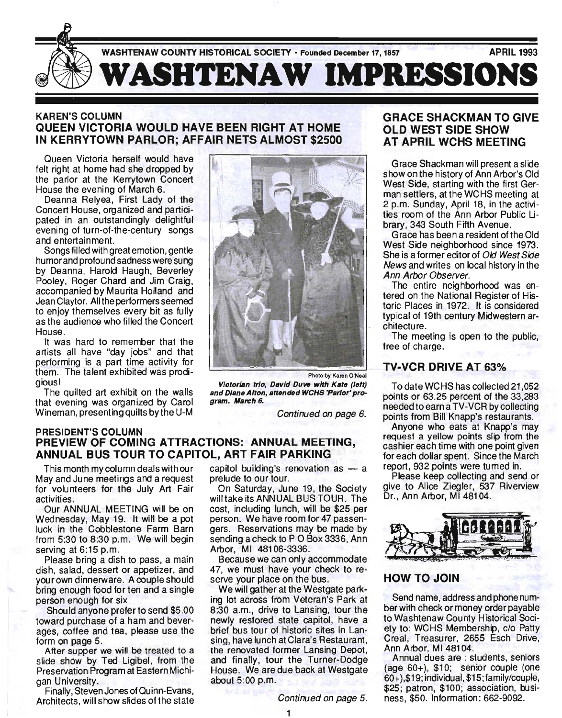

## KAREN'S COLUMN QUEEN VICTORIA WOULD HAVE BEEN RIGHT AT HOME IN KERRYTOWN PARLOR; AFFAIR NETS ALMOST \$2500

Queen Victoria herself would have felt right at home had she dropped by the parlor at the Kerrytown Concert House the evening of March 6.

Deanna Relyea, First Lady of the Concert House, organized and participated in an outstandingly delightful evening of turn-of-the-century songs and entertainment.

Songs filled with great emotion, gentle humor and profound sadness were sung by Deanna, Harold Haugh, Beverley Pooley, Roger Chard and Jim Craig, accompanied by Maurita Holland and Jean Claytor. All the performers seemed to enjoy themselves every bit as fully as the audience who filled the Concert House.

It was hard to remember that the artists all have "day jobs" and that performing is a part time activity for them. The talent exhibited was prodigious!

The quilted art exhibit on the walls that evening was organized by Carol Wineman, presenting quilts by the U-M



Photo by Karen O·Neal

Victorian trio, David Duve with Kate (left) and Diane Alton, attended WCHS 'Parlor' program. March 6.

Continued on page 6.

#### PRESIDENT'S COLUMN PREVIEW OF COMING ATTRACTIONS: ANNUAL MEETING, ANNUAL BUS TOUR TO CAPITOL, ART FAIR PARKING

This month mycolumn deals withour May and June meetings and a request for volunteers for the July Art Fair activities.

Our ANNUAL MEETING will be on Wednesday, May 19. It will be a pot luck in the Cobblestone Farm Barn from 5:30 to 8:30 p.m. We will begin serving at 6:15 p.m.

Please bring a dish to pass, a main dish, salad, dessert or appetizer, and your own dinnerware. A couple should bring enough food for ten and a single person enough for six

Should anyone prefer to send \$5.00 toward purchase of a ham and beverages, coffee and tea, please use the form on page 5.

Atter supper we will be treated to a slide show by Ted Ligibel, from the Preservation Program at Eastern Michigan University.

Finally, Steven Jones of Quinn-Evans, Architects, will show slides of the state capitol building's renovation as  $-$  a prelude to our tour.

On Saturday, June 19, the Society will take its ANNUAL BUS TOUR. The cost, including lunch, will be \$25 per person. We have room for 47 passengers. Reservations may be made by sending a check to P O Box 3336, Ann Arbor, MI 48106-3336.

Because we can only accommodate 47, we must have your check to reserve your place on the bus.

We will gather at the Westgate parking lot across from Veteran's Park at 8:30 a.m., drive to Lansing, tour the newly restored state capitol, have a brief bus tour of historic sites in Lansing, have lunch at Clara's Restaurant, the renovated former Lansing Depot, and finally, tour the Turner-Dodge House. We are due back at Westgate about 5:00 p.m.

Continued on page 5.

## GRACESHACKMANTOGWE OLD WEST SIDE SHOW AT APRIL WCHS MEETING

Grace Shackman will present a slide show on the history of Ann Arbor's Old West Side, starting with the first German settlers, at the WCHS meeting at 2 p.m. Sunday, April 18, in the activities room of the Ann Arbor Public library, 343 South Fifth Avenue.

Grace has been a resident of the Old West Side neighborhood since 1973. She is a former editor of Old West Side News and writes on local history in the Ann Arbor Observer.

The entire neighborhood was entered on the National Register of Historic Places in 1972. It is considered typical of 19th century Midwestern architecture.

The meeting is open to the public, free of charge.

# TV-VCR DRIVE AT 63%

To date WCHS has collected 21,052 points or 63.25 percent of the 33,283 needed to earn a TV -VCR by collecting points from Bill Knapp's restaurants.

Anyone who eats at Knapp's may request a yellow points slip from the cashier each time with one point given for each dollar spent. Since the March report, 932 points were turned in.

Please keep collecting and send or give to Alice Ziegler, 537 Riverview Dr., Ann Arbor, MI 48104.



## HOW TO JOIN

Send name, address and phone number with check or money order payable to Washtenaw County Historical Society to: WCHS Membership, c/o Patty Creal, Treasurer, 2655 Esch Drive, Ann Arbor, MI 48104.

Annual dues are : students, seniors (age 60+), \$10; senior couple (one 60+ ),\$19; individual, \$15; family/couple, \$25; patron, \$100; association, business, \$50. Information: 662-9092.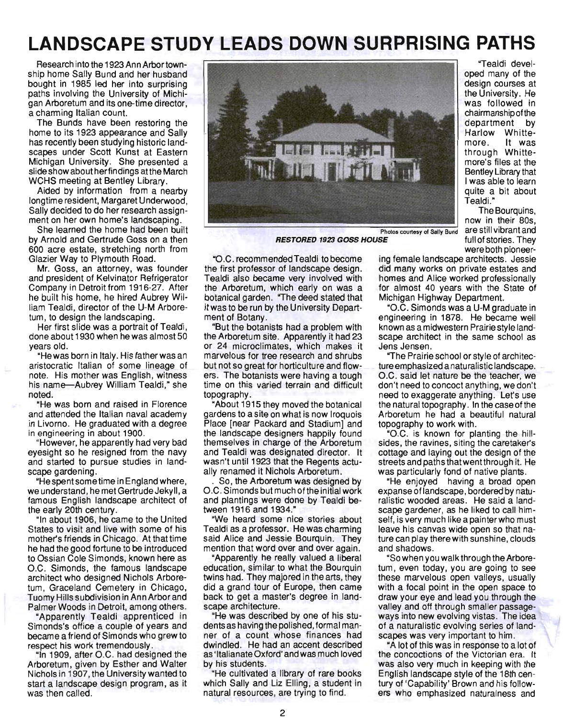# **LANDSCAPE STUDY LEADS DOWN SURPRISING PATHS**

Research into the 1923 Ann Arbor township home Sally Bund and her husband bought in 1985 led her into surprising paths involving the University of Michigan Arboretum and its one-time director, a charming Italian count.

The Bunds have been restoring the home to its 1923 appearance and Sally has recently been studying historic landscapes under Scott Kunst at Eastern Michigan University. She presented a slide show about her findings atthe March WCHS meeting at Bentley Library.

Aided by information from a nearby longtime resident, Margaret Underwood, Sally decided to do her research assignment on her own home's landscaping.

She learned the home had been built by Arnold and Gertrude Goss on a then 600 acre estate, stretching north from Glazier Way to Plymouth Road.

Mr. Goss, an attorney, was founder and president of Kelvinator Refrigerator Company in Detroit from 1916-27. After he built his home, he hired Aubrey William Tealdi, director of the U-M Arboretum, to design the landscaping.

Her first slide was a portrait of Tealdi, done about 1930 when he was almost 50 years old.

"Hewas born in Italy. His father was an aristocratic Italian of some lineage of note. His mother was English, witness his name-Aubrey William Tealdi," she noted.

"He was born and raised in Florence and attended the Italian naval academy in Livorno. He graduated with a degree in engineering in about 1900.

"However, he apparently had very bad eyesight so he resigned from the navy and started to pursue studies in landscape gardening.

"Hespentsometime in England where, we understand, he met Gertrude Jekyll, a famous English landscape architect of the early 20th century.

"In about 1906, he came to the United States to visit and live with some of his mother's friends in Chicago. At that time he had the good fortune to be introduced to Ossian Cole Simonds, known here as O.C. Simonds, the famous landscape architect who designed Nichols Arboretum, Graceland Cemetery in Chicago, Tuomy Hills subdivision in Ann Arbor and Palmer Woods in Detroit, among others.

"Apparently Tealdi apprenticed in Simonds's office a couple of years and became a friend of Simonds who grew to respect his work tremendously.

"In 1909, after O.C. had designed the Arboretum, given by Esther and Walter Nichols in 1907, the University wanted to start a landscape design program, as it was then called.



**RESTORED 1923 GOSS HOUSE** full of stories. They

"O.C. recommended Tealdi to become the first professor of landscape design. Tealdi also became very involved with the Arboretum, which early on was a botanical garden. "The deed stated that it was to be run by the University Department of Botany.

"But the botanists had a problem with the Arboretum site. Apparently it had 23 or 24 microclimates, which makes it marvelous for tree research and shrubs but not so great for horticulture and flowers. The botanists were having a tough time on this varied terrain and difficult topography.

"About 1915 they moved the botanical gardens to a site on what is now Iroquois Place [near Packard and Stadium] and the landscape designers happily found themselves in charge of the Arboretum and Tealdi was designated director. It wasn't until 1923 that the Regents actually renamed it Nichols Arboretum.

. So, the Arboretum was designed by O.C. Simonds but much of the initial work and plantings were done by Tealdi between 1916 and 1934."

"We heard some nice stories about Tealdi as a professor. He was charming said Alice and Jessie Bourquin. They mention that word over and over again.

"Apparently he really valued a liberal education, similar to what the Bourquin twins had. They majored in the arts, they did a grand tour of Europe, then came back to get a master's degree in landscape architecture.

"He was described by one of his students as having the pOlished, formal manner of a count whose finances had dwindled. He had an accent described as' Italianate Oxford' and was much loved by his students.

"He cultivated a library of rare books which Sally and Liz Elling, a student in natural resources, are trying to find.

"Tealdi developed many of the design courses at the University. He was followed in chairmanship of the department by Harlow Whittemore. It was through Whittemore's files at the Bentley Library that I was able to learn quite a bit about Tealdi."

The Bourquins, now in their 80s, Photos courtesy of Sally Bund are still vibrant and were both pioneer-

ing female landscape architects. Jessie did many works on private estates and homes and Alice worked professionally for almost 40 years with the State of Michigan Highway Department.

"O.C. Simonds was a U-M graduate in engineering in 1878. He became well known as a midwestern Prairie style landscape architect in the same school as Jens Jensen.

"The Prairie school or style of architecture emphasized a naturalistic landscape. O.C. said let nature be the teacher, we don't need to concoct anything, we don't need to exaggerate anything. Let's use the natural topography. In the case of the Arboretum he had a beautiful natural topography to work with.

"O.C. is known for planting the hillsides, the ravines, siting the caretaker's cottage and laying out the design of the streets and paths thatwentthrough it. He was particularly fond of native plants.

"He enjoyed having a broad open expanse of landscape, bordered by naturalistic wooded areas. He said a landscape gardener, as he liked to call himself, is very much like a painter who must leave his canvas wide open so that nature can play there with sunshine, clouds and shadows.

"So when you walk through the Arboretum, even today, you are going to see these marvelous open valleys, usually with a focal point in the open space to draw your eye and lead you through the valley and off through smaller passageways into new evolving vistas. The idea of a naturalistic evolving series of landscapes was very important to him.

"A lot of this was in response to a lot of the concoctions of the Victorian era. It was also very much in keeping with the English landscape style of the 18th century of 'Capability' Brown and his followers who emphasized naturalness and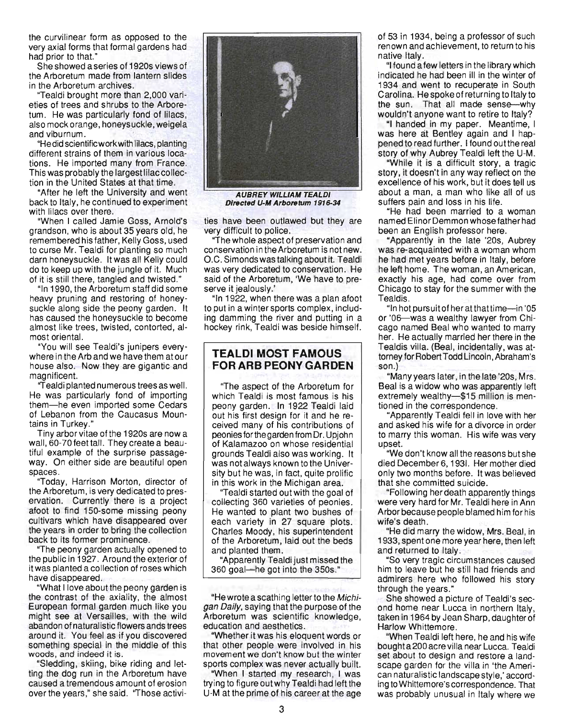the curvilinear form as opposed to the very axial forms that formal gardens had had prior to that."

Sheshowed aseries of 1920s views of the Arboretum made from lantern slides in the Arboretum archives.

"Tealdi brought more than 2,000 varieties of trees and shrubs to the Arboretum. He was particularly fond of lilacs, also mock orange, honeysuckle, weigela and viburnum.

"He did scientific work with lilacs, planting different strains of them in various locations. He imported many from France. This was probably the largest lilac collection in the United States at that time.

"After he left the University and went back to Italy, he continued to experiment with lilacs over there.

"When I called Jamie Goss, Arnold's grandson, who is about 35 years old, he remembered his father, Kelly Goss, used to curse Mr. Tealdi for planting so much darn honeysuckle. It was all Kelly could do to keep up with the jungle of it. Much of it is still there, tangled and twisted."

"In 1990, the Arboretum staff did some heavy pruning and restoring of honeysuckle along side the peony garden. It has caused the honeysuckle to become almost like trees, twisted, contorted, almost oriental.

"You will see Tealdi's junipers everywhere in the Arb and we have them at our house also. Now they are gigantic and magnificent.

"Tealdi planted numerous trees as well. He was particularly fond of importing them-he even imported some Cedars of Lebanon from the Caucasus Mountains in Turkey."

Tiny arbor vitae of the 1920s are now a wall, 60-70 feet tall. They create a beautiful example of the surprise passageway. On either side are beautiful open spaces.

"Today, Harrison Morton, director of the Arboretum, is very dedicated to preservation. Currently there is a project afoot to find 150-some missing peony cultivars which have disappeared over the years in order to bring the collection back to its former prominence.

"The peony garden actually opened to the public in 1927. Around the exterior·of itwas planted a collection of roses which have disappeared.

"What I love about the peony garden is the contrast of the axiality, the almost European formal garden much like you might see at Versailles, with the wild abandon of naturalistic flowers ands trees around it. You feel as if you discovered something special in the middle of this woods, and indeed it is.

"Sledding, skiing, bike riding and letting the dog run in the Arboretum have caused a tremendous amount of erosion over the years," she said. "Those activi-



**AUBREY WILLIAM TEALDI** Directed U-M Arboretum 1916-34

ties have been outlawed but they are very difficult to police.

"The whole aspect of preservation and conservation in the Arboretum is not new. O.C. Simonds was talking about it. Tealdi was very dedicated to conservation. He said of the Arboretum, We have to preserve it jealously.'

"In 1922, when there was a plan afoot to put in a winter sports complex, including damming the river and putting in a hockey rink, Tealdi was beside himself.

## **TEALDI MOST FAMOUS**  FOR ARB PEONY GARDEN

"The aspect of the Arboretum for which Tealdi is most famous is his peony garden. In 1922 Tealdi laid out his first design for it and he received many of his contributions of peonies for the garden from Dr. Upjohn of Kalamazoo on whose residential grounds Tealdi also was working. It was not always known to the University but he was, in fact, quite prolific in this work in the Michigan area.

"Tealdi started out with the goal of collecting 360 varieties of peonies. He wanted to plant two bushes of each variety in 27 square plots. Charles Moody, his superintendent of the Arboretum, laid out the beds and planted them.

"Apparently Tealdi just missed the 360 goal-he got into the 350s."

"He wrote a scathing letter to the Michigan Daily, saying that the purpose of the Arboretum was scientific knowledge, education and aesthetics.

"Whether it was his eloquent words or that other people were involved in his movement we don't know but the winter sports complex was never actually built.

"When I started my research, I was trying to figure out why Tealdi had left the U-M at the prime of his career at the age of 53 in 1934, being a professor of such renown and achievement, to return to his native Italy.

"I found a few letters in the library which indicated he had been ill in the winter of 1934 and went to recuperate in South Carolina. He spoke of returning to Italy to the sun. That all made sense-why wouldn't anyone want to retire to Italy?

"I handed in my paper. Meantime, I was here at Bentley again and I happened to read further. I found out the real story of why Aubrey Tealdi left the U-M.

"While it is a difficult story, a tragic story, it doesn't in any way reflect on the excellence of his work, but it does tell us about a man, a man who like all of us suffers pain and loss in his life.

"He had been married to a woman named Elinor Demmon whose father had been an English professor here.

"Apparently in the late '20s, Aubrey was re-acquainted with a woman whom he had met years before in Italy, before he left home. The woman, an American, exactly his age, had come over from Chicago to stay for the summer with the Tealdis.

"In hotpursuitof heratthattime-in '05 or '06-was a wealthy lawyer from Chicago named Beal who wanted to marry her. He actually married her there in the Tealdis villa. (Beal, incidentally, was attorney for Robert Todd Lincoln, Abraham'S son.)

"Many years later, in the late '20s, Mrs. Beal is a widow who was apparently left extremely wealthy-\$15 million is mentioned in the correspondence.

"Apparently Tealdi fell in love with her and asked his wife for a divorce in order to marry this woman. His wife was very upset.

"We don't know all the reasons but she died December 6, 1931. Her mother died only two months before. It was believed that she committed suicide.

"Following her death apparently things were very hard for Mr. Tealdi here in Ann Arbor because people blamed him for his wife's death.

"He did marry the widow, Mrs. Beal, in 1933, spent one more year here, then left and returned to Italy.

"So very tragiC circumstances caused him to leave but he still had friends and admirers here who followed his story through the years."

She showed a picture of Tealdi's second home near Lucca in northern Italy, taken in 1964 by Jean Sharp, daughter of Harlow Whittemore.

"When Tealdi left here, he and his wife bought a200 acre villa near Lucca. Tealdi set about to design and restore a landscape garden for the villa in 'the American naturalistic landscape style,' according to Whittemore's correspondence. That was probably unusual in Italy where we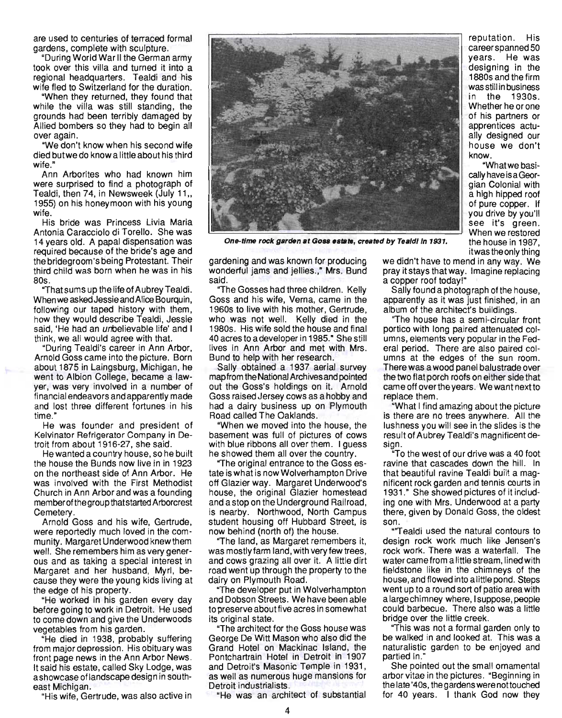are used to centuries of terraced formal gardens, complete with sculpture.

"During World War II the German army took over this villa and turned it into a regional headquarters. Tealdi and his wife fled to Switzerland for the duration.

"When they returned, they found that while the villa was still standing, the grounds had been terribly damaged by Allied bombers so they had to begin all over again.

"We don't know when his second wife died butwe do know a little about his third wife."

Ann Arborites who had known him were surprised to find a photograph of Tealdi, then 74, in Newsweek (July 11., 1955) on his honeymoon with his young wife.

His bride was Princess Livia Maria Antonia Caracciolo di Torello. She was 14 years old. A papal dispensation was required because of the bride's age and the bridegroom's being Protestant. Their third child was born when he was in his 80s.

"That sums up the life of Aubrey Tealdi. When we asked Jessie and Alice Bourquin, following our taped history with them, how they would describe Tealdi, Jessie said, 'He had an unbelievable life' and I think, we all would agree with that.

"During Tealdi's career in Ann Arbor, Arnold Goss came into the picture. Born about 1875 in Laingsburg, Michigan, he went to Albion College, became a lawyer, was very involved in a number of financial endeavors and apparently made and lost three different fortunes in his time."

He was founder and president of Kelvinator Refrigerator Company in Detroit from about 1916-27, she said.

He wanted a country house, so he built the house the Bunds now live in in 1923 on the northeast side of Ann Arbor. He was involved with the First Methodist Church in Ann Arbor and was a founding member of the group that started Arborcrest Cemetery.

Arnold Goss and his wife, Gertrude, were reportedly much loved in the community. Margaret Underwood knew them well. She remembers him as very generous and as taking a special interest in Margaret and her husband, Myrl, because they were the young kids living at the edge of his property.

"He worked in his garden every day before going to work in Detroit. He used to come down and give the Underwoods vegetables from his garden.

"He died in 1938, probably suffering from major depression. His obituary was front page news in the Ann Arbor News. It said his estate, called Sky Lodge, was a showcase of landscape design in southeast Michigan.

"His wife, Gertrude, was also active in



One-time rock garden at Goss estate, created by Tealdl in 1931.

gardening and was known for producing wonderful jams and jellies.," Mrs. Bund said.

"The Gosses had three children. Kelly Goss and his wife, Verna, came in the 1960s to live with his mother, Gertrude, who was not well. Kelly died in the 1980s. His wife sold the house and final 40 acres to a developer in 1985." She still lives in Ann Arbor and met with Mrs. Bund to help with her research.

Sally obtained a 1937 aerial survey mapfrom the National Archives and pointed out the Goss's holdings on it. Arnold Goss raised Jersey cows as a hobby and had a dairy business up on Plymouth Road called The Oaklands.

"When we moved into the house, the basement was full of pictures of cows with blue ribbons all over them. I guess he showed them all over the country.

"The original entrance to the Goss estate is what is now Wolverhampton Drive off Glazier way. Margaret Underwood's house, the original Glazier homestead and a stop on the Underground Railroad, is nearby. Northwood, North Campus student housing off Hubbard Street, is now behind (north of) the house.

"The land, as Margaret remembers it, was mostly farm land, with very few trees, and cows grazing all over it. A little dirt road went up through the property to the dairy on Plymouth Road.

"The developer put in Wolverhampton and Dobson Streets. We have been able to preserve about five acres in somewhat its original state.

"The architect for the Goss house was George De Witt Mason who also did the Grand Hotel on Mackinac Island, the Pontchartrain Hotel in Detroit in 1907 and Detroit's Masonic Temple in 1931, as well as numerous huge mansions for Detroit industrialists.

"He was an architect of substantial

we didn't have to mend in any way. We pray it stays that way. Imagine replacing a copper roof today!"

Sally found a photograph of the house, apparently as it was just finished, in an album of the architect's buildings.

"The house has a semi-circular front portico with long paired attenuated columns, elements very popular in the Federal period. There are also paired columns at the edges of the sun room. There was a wood panel balustrade over the two flat porch roofs on either side that came off overthe years. We want next to replace them.

"What I find amazing about the picture is there are no trees anywhere. All the lushness you will see in the slides is the result of Aubrey Tealdi's magnificent design.

"To the west of our drive was a 40 foot ravine that cascades down the hill. In that beautiful ravine Tealdi built a magnificent rock garden and tennis courts in 1931." She showed pictures of it including one with Mrs. Underwood at a party there, given by Donald Goss, the oldest son.

"'Tealdi used the natural contours to design rock work much like Jensen's rock work. There was a waterfall. The water came from a little stream, lined with fieldstone like in the chimneys of the house, and flowed into a little pond. Steps went up to a round sort of patio area with a large chimney where, I suppose, people could barbecue. There also was a little bridge over the little creek.

"This was not a formal garden only to be walked in and looked at. This was a naturalistic garden to be enjoyed and partied in."

She pointed out the small ornamental arbor vitae in the pictures. "Beginning in the late '40s, the gardens were nottouched for 40 years. I thank God now they

reputation. His career spanned 50 years. He was designing in the 1880s and the firm was still in business in the 1930s. Whether he or one of his partners or apprentices actually designed our house we don't know.

"What we basically have is a Georgian Colonial with a high hipped roof of pure copper. If you drive by you'll see it's green. When we restored the house in 1987, itwas the only thing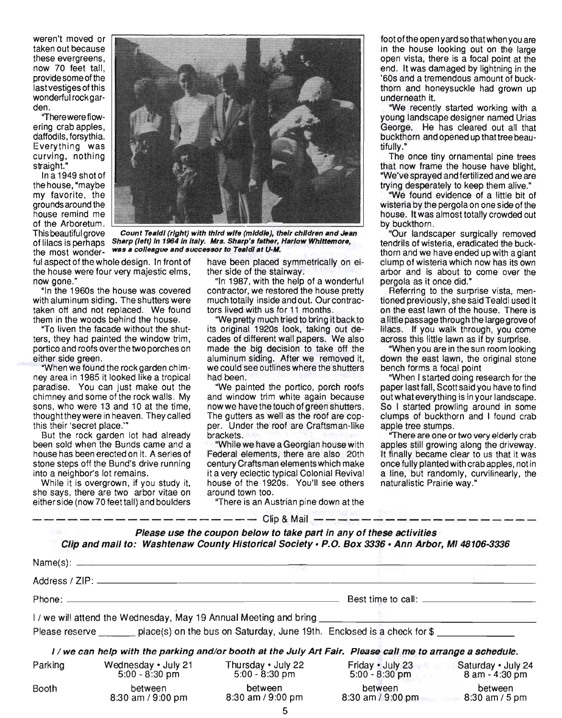weren't moved or taken out because these evergreens, now 70 feet tall, provide some of the last vestiges of this wonderful rock garden.

"There were flowering crab apples, daffodils, forsythia. Everything was curving, nothing straight."

In a 1949 shot of the house, "maybe my favorite, the grounds around the house remind me of the Arboretum.



This beautiful grove Count Tealdl (right) with third wife (middle), their children and Jean of lilacs is perhaps Sharp (left) In 1964 In Italy. Mrs. Sharp's father, Harlow Whittemore. the most wonder- was a colleague and successor to Tealdl at U-M.

ful aspect of the whole design. In front of have been placed symmetrically on eithe house were four very majestic elms, ther side of the stairway. now gone." . The same of a wonderful state of a wonderful state in 1987, with the help of a wonderful

with aluminum siding. The shutters were much totally inside and out. Our contractaken off and not replaced. We found tors lived with us for 11 months. them in the woods behind the house. "We pretty much tried to bring it back to

ney area in 1985 it looked like a tropical had been. paradise. You can just make out the "We painted the portico, porch roofs

But the rock garden lot had already brackets. been sold when the Bunds came and a "While we have a Georgian house with

she says, there are two arbor vitae on around town too. either side (now 70 feettall) and boulders "There is an Austrian pine down at the

"In the 1960s the house was covered contractor, we restored the house pretty

"To liven the facade without the shut- its original 1920s look, taking out deters, they had painted the window trim, cades of different wall papers. We also portico and roofs over the two porches on made the big decision to take off the either side green. The state of the siding. After we removed it, "When we found the rock garden chim- we could see outlines where the shutters

chimney and some of the rock walls. My and window trim white again because sons, who were 13 and 10 at the time, now we have the touch of green shutters. thoughttheywere in heaven. They called The gutters as well as the roof are copthis their 'secret place.'" per. Under the roof are Craftsman-like

house has been erected on it. A series of Federal elements, there are also 20th stone steps off the Bund's drive running century Craftsman elements which make into a neighbor's lot remains. it a very eclectic typical Colonial Revival While it is overgrown, if you study it, house of the 1920s. You'll see others foot of the open yard so that when you are in the house looking out on the large open vista, there is a focal point at the end. It was damaged by lightning in the '60s and a tremendous amount of buckthorn and honeysuckle had grown up underneath it.

"We recently started working with a young landscape designer named Urias George. He has cleared out all that buckthorn and opened up thattree beautifully."

The once tiny ornamental pine trees that now frame the house have blight, "We've sprayed and fertilized and we are trying desperately to keep them alive."

"We found evidence of a little bit of wisteria by the pergola on one side of the house. It was almost totally crowded out by buckthorn.

"Our landscaper surgically removed tendrils of wisteria, eradicated the buckthorn and we have ended up with a giant clump of wisteria which now has its own arbor and is about to come over the pergola as it once did."

Referring to the surprise vista, mentioned previously, she said Tealdi used it on the east lawn of the house. There is a little passage through the large grove of lilacs. If you walk through, you come across this little lawn as if by surprise.

"When you are in the sun room looking down the east lawn, the original stone bench forms a focal point

"When I started doing research for the paper last fall, Scott said you have to find outwhateverything is in your landscape. So I started prowling around in some clumps of buckthorn and I found crab apple tree stumps.

"There are one or two very elderly crab apples still growing along the driveway. It finally became clear to us that it was once fully planted with crab apples, not in a line, but randomly, curvilinearly, the naturalistic Prairie way."

------------------- Clip & Mail -------------------

| Please use the coupon below to take part in any of these activities                              |  |  |  |
|--------------------------------------------------------------------------------------------------|--|--|--|
| Clip and mail to: Washtenaw County Historical Society • P.O. Box 3336 • Ann Arbor, MI 48106-3336 |  |  |  |

|         | I/we will attend the Wednesday, May 19 Annual Meeting and bring ________________                          |                                      |                                      |                                      |  |
|---------|-----------------------------------------------------------------------------------------------------------|--------------------------------------|--------------------------------------|--------------------------------------|--|
|         | Please reserve place(s) on the bus on Saturday, June 19th. Enclosed is a check for \$                     |                                      |                                      |                                      |  |
|         | I / we can help with the parking and/or booth at the July Art Fair. Please call me to arrange a schedule. |                                      |                                      |                                      |  |
| Parking | Wednesday • July 21<br>$5:00 - 8:30 \text{ pm}$                                                           | Thursday • July 22<br>5:00 - 8:30 pm | Friday • July 23<br>$5:00 - 8:30$ pm | Saturday . July 24<br>8 am - 4:30 pm |  |
| Booth   | between<br>8:30 am / 9:00 pm                                                                              | between<br>8:30 am / 9:00 pm         | between<br>8:30 am / 9:00 pm         | between<br>$8:30$ am / 5 pm          |  |